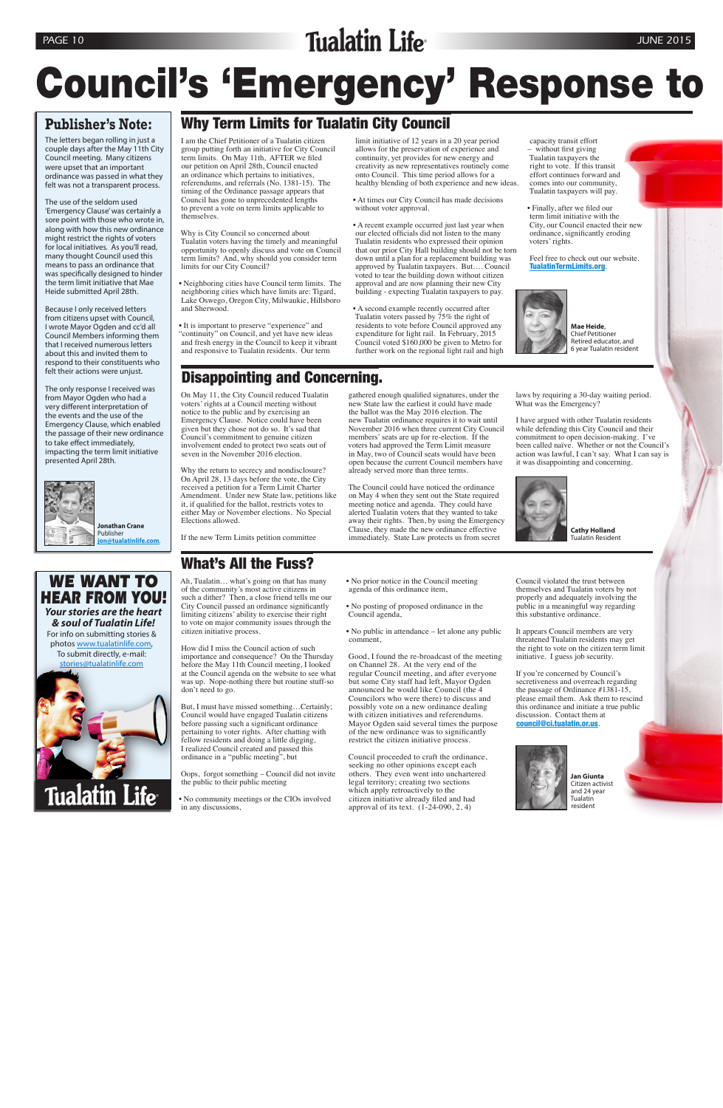On May 11, the City Council reduced Tualatin voters' rights at a Council meeting without notice to the public and by exercising an Emergency Clause. Notice could have been given but they chose not do so. It's sad that Council's commitment to genuine citizen involvement ended to protect two seats out of seven in the November 2016 election.

Why the return to secrecy and nondisclosure? On April 28, 13 days before the vote, the City received a petition for a Term Limit Charter Amendment. Under new State law, petitions like it, if qualified for the ballot, restricts votes to either May or November elections. No Special Elections allowed.

If the new Term Limits petition committee

gathered enough qualified signatures, under the new State law the earliest it could have made the ballot was the May 2016 election. The new Tualatin ordinance requires it to wait until November 2016 when three current City Council members' seats are up for re-election. If the voters had approved the Term Limit measure in May, two of Council seats would have been open because the current Council members have already served more than three terms.

The Council could have noticed the ordinance on May 4 when they sent out the State required meeting notice and agenda. They could have alerted Tualatin voters that they wanted to take away their rights. Then, by using the Emergency Clause, they made the new ordinance effective immediately. State Law protects us from secret

laws by requiring a 30-day waiting period. What was the Emergency?

I have argued with other Tualatin residents while defending this City Council and their commitment to open decision-making. I've been called naïve. Whether or not the Council's action was lawful, I can't say. What I can say is it was disappointing and concerning.



**Cathy Holland** Tualatin Resident

## Why Term Limits for Tualatin City Council

## Disappointing and Concerning. further work on the regional light rail and high

I am the Chief Petitioner of a Tualatin citizen group putting forth an initiative for City Council term limits. On May 11th, AFTER we filed our petition on April 28th, Council enacted an ordinance which pertains to initiatives, referendums, and referrals (No. 1381-15). The timing of the Ordinance passage appears that Council has gone to unprecedented lengths to prevent a vote on term limits applicable to themselves.

Why is City Council so concerned about Tualatin voters having the timely and meaningful opportunity to openly discuss and vote on Council term limits? And, why should you consider term limits for our City Council?

• Neighboring cities have Council term limits. The neighboring cities which have limits are: Tigard, Lake Oswego, Oregon City, Milwaukie, Hillsboro and Sherwood.

• It is important to preserve "experience" and "continuity" on Council, and yet have new ideas and fresh energy in the Council to keep it vibrant and responsive to Tualatin residents. Our term

limit initiative of 12 years in a 20 year period allows for the preservation of experience and continuity, yet provides for new energy and creativity as new representatives routinely come onto Council. This time period allows for a healthy blending of both experience and new ideas.

• At times our City Council has made decisions

without voter approval.

# Council's 'Emergency' Response to

• A recent example occurred just last year when our elected officials did not listen to the many Tualatin residents who expressed their opinion that our prior City Hall building should not be torn down until a plan for a replacement building was approved by Tualatin taxpayers. But…. Council voted to tear the building down without citizen approval and are now planning their new City building - expecting Tualatin taxpayers to pay.

• A second example recently occurred after Tualatin voters passed by 75% the right of residents to vote before Council approved any expenditure for light rail. In February, 2015 Council voted \$160,000 be given to Metro for

capacity transit effort – without first giving Tualatin taxpayers the right to vote. If this transit effort continues forward and comes into our community, Tualatin taxpayers will pay.

• Finally, after we filed our term limit initiative with the City, our Council enacted their new ordinance, significantly eroding voters' rights.

Feel free to check out our website. TualatinTermLimits.org.



**Mae Heide**, Chief Petitioner Retired educator, and 6 year Tualatin resident

What's All the Fuss?

Ah, Tualatin… what's going on that has many of the community's most active citizens in such a dither? Then, a close friend tells me our City Council passed an ordinance significantly limiting citizens' ability to exercise their right to vote on major community issues through the

citizen initiative process.

How did I miss the Council action of such importance and consequence? On the Thursday before the May 11th Council meeting, I looked at the Council agenda on the website to see what was up. Nope-nothing there but routine stuff-so

don't need to go.

But, I must have missed something…Certainly; Council would have engaged Tualatin citizens before passing such a significant ordinance pertaining to voter rights. After chatting with fellow residents and doing a little digging, I realized Council created and passed this ordinance in a "public meeting", but

Oops, forgot something – Council did not invite

the public to their public meeting

• No community meetings or the CIOs involved in any discussions,

• No prior notice in the Council meeting agenda of this ordinance item,

• No posting of proposed ordinance in the Council agenda,

• No public in attendance – let alone any public comment,

Good, I found the re-broadcast of the meeting on Channel 28. At the very end of the regular Council meeting, and after everyone but some City staff had left, Mayor Ogden announced he would like Council (the 4 Councilors who were there) to discuss and possibly vote on a new ordinance dealing with citizen initiatives and referendums. Mayor Ogden said several times the purpose of the new ordinance was to significantly restrict the citizen initiative process.

Council proceeded to craft the ordinance, seeking no other opinions except each others. They even went into unchartered legal territory; creating two sections which apply retroactively to the citizen initiative already filed and had approval of its text. (1-24-090, 2, 4)

Council violated the trust between themselves and Tualatin voters by not properly and adequately involving the public in a meaningful way regarding this substantive ordinance.

It appears Council members are very threatened Tualatin residents may get the right to vote on the citizen term limit initiative. I guess job security.

If you're concerned by Council's secretiveness and overreach regarding the passage of Ordinance #1381-15, please email them. Ask them to rescind this ordinance and initiate a true public discussion. Contact them at council@ci.tualatin.or.us.





### **Publisher's Note:**

The letters began rolling in just a couple days after the May 11th City Council meeting. Many citizens were upset that an important ordinance was passed in what they felt was not a transparent process.

The use of the seldom used 'Emergency Clause' was certainly a sore point with those who wrote in, along with how this new ordinance might restrict the rights of voters for local initiatives. As you'll read, many thought Council used this means to pass an ordinance that was specifically designed to hinder the term limit initiative that Mae Heide submitted April 28th.

Because I only received letters from citizens upset with Council, I wrote Mayor Ogden and cc'd all Council Members informing them that I received numerous letters about this and invited them to respond to their constituents who felt their actions were unjust.

The only response I received was from Mayor Ogden who had a very different interpretation of the events and the use of the Emergency Clause, which enabled the passage of their new ordinance to take effect immediately, impacting the term limit initiative presented April 28th.



*WE WANT TO HEAR FROM YOU! Your stories are the heart & soul of Tualatin Life!* For info on submitting stories & photos www.tualatinlife.com, To submit directly, e-mail:

stories@tualatinlife.com